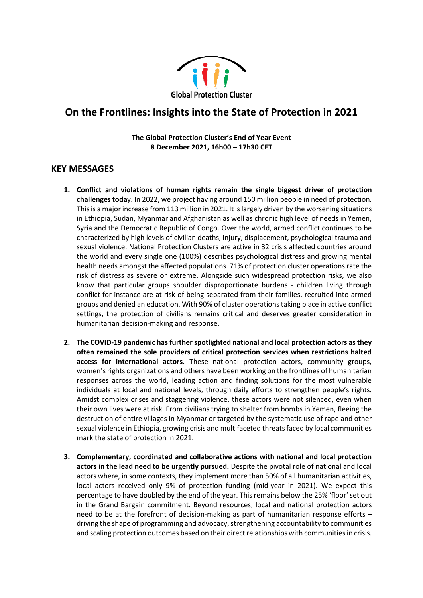

# **On the Frontlines: Insights into the State of Protection in 2021**

**The Global Protection Cluster's End of Year Event 8 December 2021, 16h00 – 17h30 CET**

## **KEY MESSAGES**

- **1. Conflict and violations of human rights remain the single biggest driver of protection challenges toda**y. In 2022, we project having around 150 million people in need of protection. This is a major increase from 113 million in 2021. It is largely driven by the worsening situations in Ethiopia, Sudan, Myanmar and Afghanistan as well as chronic high level of needs in Yemen, Syria and the Democratic Republic of Congo. Over the world, armed conflict continues to be characterized by high levels of civilian deaths, injury, displacement, psychological trauma and sexual violence. National Protection Clusters are active in 32 crisis affected countries around the world and every single one (100%) describes psychological distress and growing mental health needs amongst the affected populations. 71% of protection cluster operations rate the risk of distress as severe or extreme. Alongside such widespread protection risks, we also know that particular groups shoulder disproportionate burdens - children living through conflict for instance are at risk of being separated from their families, recruited into armed groups and denied an education. With 90% of cluster operations taking place in active conflict settings, the protection of civilians remains critical and deserves greater consideration in humanitarian decision-making and response.
- **2. The COVID-19 pandemic has further spotlighted national and local protection actors as they often remained the sole providers of critical protection services when restrictions halted access for international actors.** These national protection actors, community groups, women's rights organizations and others have been working on the frontlines of humanitarian responses across the world, leading action and finding solutions for the most vulnerable individuals at local and national levels, through daily efforts to strengthen people's rights. Amidst complex crises and staggering violence, these actors were not silenced, even when their own lives were at risk. From civilians trying to shelter from bombs in Yemen, fleeing the destruction of entire villages in Myanmar or targeted by the systematic use of rape and other sexual violence in Ethiopia, growing crisis and multifaceted threats faced by local communities mark the state of protection in 2021.
- **3. Complementary, coordinated and collaborative actions with national and local protection actors in the lead need to be urgently pursued.** Despite the pivotal role of national and local actors where, in some contexts, they implement more than 50% of all humanitarian activities, local actors received only 9% of protection funding (mid-year in 2021). We expect this percentage to have doubled by the end of the year. This remains below the 25% 'floor' set out in the Grand Bargain commitment. Beyond resources, local and national protection actors need to be at the forefront of decision-making as part of humanitarian response efforts – driving the shape of programming and advocacy, strengthening accountability to communities and scaling protection outcomes based on their direct relationships with communities in crisis.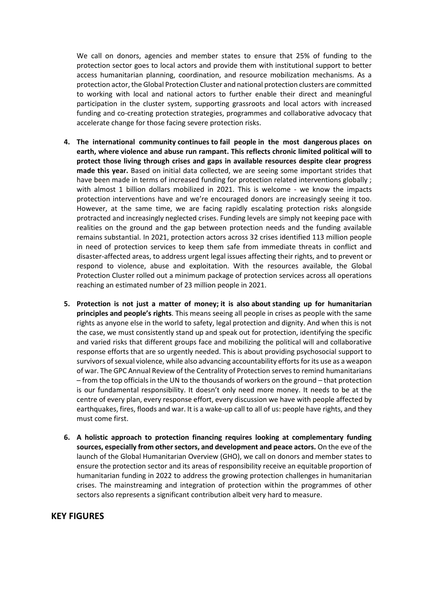We call on donors, agencies and member states to ensure that 25% of funding to the protection sector goes to local actors and provide them with institutional support to better access humanitarian planning, coordination, and resource mobilization mechanisms. As a protection actor, the Global Protection Cluster and national protection clusters are committed to working with local and national actors to further enable their direct and meaningful participation in the cluster system, supporting grassroots and local actors with increased funding and co-creating protection strategies, programmes and collaborative advocacy that accelerate change for those facing severe protection risks.

- **4. The international community continues to fail people in the most dangerous places on earth, where violence and abuse run rampant. This reflects chronic limited political will to protect those living through crises and gaps in available resources despite clear progress made this year.** Based on initial data collected, we are seeing some important strides that have been made in terms of increased funding for protection related interventions globally ; with almost 1 billion dollars mobilized in 2021. This is welcome - we know the impacts protection interventions have and we're encouraged donors are increasingly seeing it too. However, at the same time, we are facing rapidly escalating protection risks alongside protracted and increasingly neglected crises. Funding levels are simply not keeping pace with realities on the ground and the gap between protection needs and the funding available remains substantial. In 2021, protection actors across 32 crises identified 113 million people in need of protection services to keep them safe from immediate threats in conflict and disaster-affected areas, to address urgent legal issues affecting their rights, and to prevent or respond to violence, abuse and exploitation. With the resources available, the Global Protection Cluster rolled out a minimum package of protection services across all operations reaching an estimated number of 23 million people in 2021.
- **5. Protection is not just a matter of money; it is also about standing up for humanitarian principles and people's rights**. This means seeing all people in crises as people with the same rights as anyone else in the world to safety, legal protection and dignity. And when this is not the case, we must consistently stand up and speak out for protection, identifying the specific and varied risks that different groups face and mobilizing the political will and collaborative response efforts that are so urgently needed. This is about providing psychosocial support to survivors of sexual violence, while also advancing accountability efforts for its use as a weapon of war. The GPC Annual Review of the Centrality of Protection serves to remind humanitarians – from the top officials in the UN to the thousands of workers on the ground – that protection is our fundamental responsibility. It doesn't only need more money. It needs to be at the centre of every plan, every response effort, every discussion we have with people affected by earthquakes, fires, floods and war. It is a wake-up call to all of us: people have rights, and they must come first.
- **6. A holistic approach to protection financing requires looking at complementary funding sources, especially from other sectors, and development and peace actors.** On the eve of the launch of the Global Humanitarian Overview (GHO), we call on donors and member states to ensure the protection sector and its areas of responsibility receive an equitable proportion of humanitarian funding in 2022 to address the growing protection challenges in humanitarian crises. The mainstreaming and integration of protection within the programmes of other sectors also represents a significant contribution albeit very hard to measure.

### **KEY FIGURES**